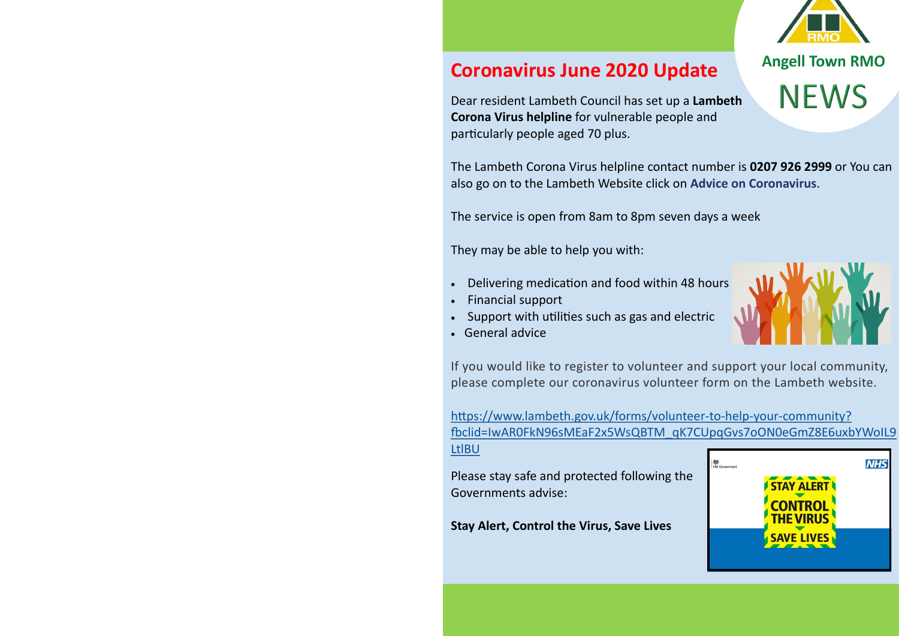# **Coronavirus June 2020 Update**

Dear resident Lambeth Council has set up a **Lambeth Corona Virus helpline** for vulnerable people and particularly people aged 70 plus.

The Lambeth Corona Virus helpline contact number is **0207 926 2999** or You can also go on to the Lambeth Website click on **Advice on Coronavirus**.

The service is open from 8am to 8pm seven days a week

They may be able to help you with:

- Delivering medication and food within 48 hours
- Financial support
- Support with utilities such as gas and electric
- General advice

If you would like to register to volunteer and support your local community, please complete our coronavirus volunteer form on the Lambeth website.

[https://www.lambeth.gov.uk/forms/volunteer](https://www.lambeth.gov.uk/forms/volunteer-to-help-your-community?fbclid=IwAR0FkN96sMEaF2x5WsQBTM_qK7CUpqGvs7oON0eGmZ8E6uxbYWoIL9LtlBU)-to-help-your-community? [fbclid=IwAR0FkN96sMEaF2x5WsQBTM\\_qK7CUpqGvs7oON0eGmZ8E6uxbYWoIL9](https://www.lambeth.gov.uk/forms/volunteer-to-help-your-community?fbclid=IwAR0FkN96sMEaF2x5WsQBTM_qK7CUpqGvs7oON0eGmZ8E6uxbYWoIL9LtlBU) [LtlBU](https://www.lambeth.gov.uk/forms/volunteer-to-help-your-community?fbclid=IwAR0FkN96sMEaF2x5WsQBTM_qK7CUpqGvs7oON0eGmZ8E6uxbYWoIL9LtlBU)

Please stay safe and protected following the Governments advise:

**Stay Alert, Control the Virus, Save Lives**



**Angell Town RMO** 

**NEWS**